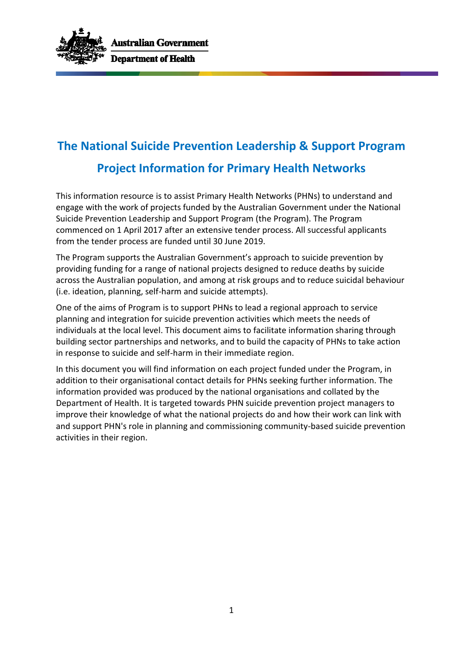

# **The National Suicide Prevention Leadership & Support Program Project Information for Primary Health Networks**

This information resource is to assist Primary Health Networks (PHNs) to understand and engage with the work of projects funded by the Australian Government under the National Suicide Prevention Leadership and Support Program (the Program). The Program commenced on 1 April 2017 after an extensive tender process. All successful applicants from the tender process are funded until 30 June 2019.

The Program supports the Australian Government's approach to suicide prevention by providing funding for a range of national projects designed to reduce deaths by suicide across the Australian population, and among at risk groups and to reduce suicidal behaviour (i.e. ideation, planning, self-harm and suicide attempts).

One of the aims of Program is to support PHNs to lead a regional approach to service planning and integration for suicide prevention activities which meets the needs of individuals at the local level. This document aims to facilitate information sharing through building sector partnerships and networks, and to build the capacity of PHNs to take action in response to suicide and self-harm in their immediate region.

In this document you will find information on each project funded under the Program, in addition to their organisational contact details for PHNs seeking further information. The information provided was produced by the national organisations and collated by the Department of Health. It is targeted towards PHN suicide prevention project managers to improve their knowledge of what the national projects do and how their work can link with and support PHN's role in planning and commissioning community-based suicide prevention activities in their region.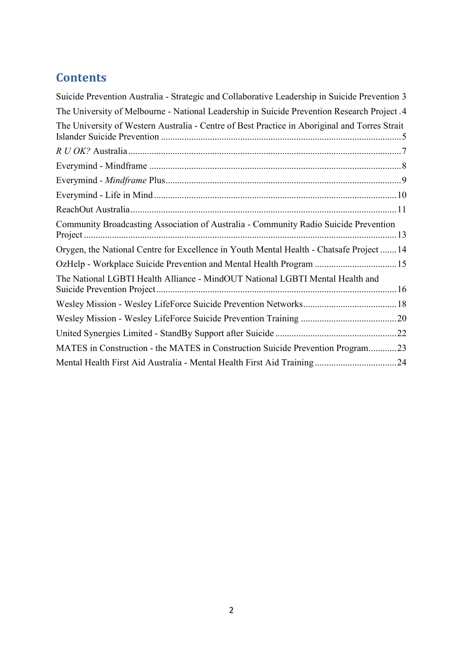# **Contents**

| Suicide Prevention Australia - Strategic and Collaborative Leadership in Suicide Prevention 3              |
|------------------------------------------------------------------------------------------------------------|
| The University of Melbourne - National Leadership in Suicide Prevention Research Project .4                |
| The University of Western Australia - Centre of Best Practice in Aboriginal and Torres Strait              |
|                                                                                                            |
|                                                                                                            |
|                                                                                                            |
|                                                                                                            |
|                                                                                                            |
| Community Broadcasting Association of Australia - Community Radio Suicide Prevention<br>$Project \dots 13$ |
| Orygen, the National Centre for Excellence in Youth Mental Health - Chatsafe Project  14                   |
|                                                                                                            |
| The National LGBTI Health Alliance - MindOUT National LGBTI Mental Health and                              |
|                                                                                                            |
|                                                                                                            |
|                                                                                                            |
| MATES in Construction - the MATES in Construction Suicide Prevention Program23                             |
|                                                                                                            |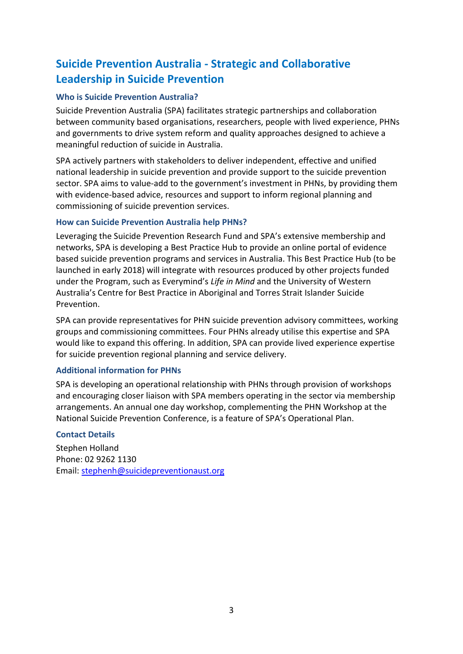# <span id="page-2-0"></span>**Suicide Prevention Australia - Strategic and Collaborative Leadership in Suicide Prevention**

### **Who is Suicide Prevention Australia?**

Suicide Prevention Australia (SPA) facilitates strategic partnerships and collaboration between community based organisations, researchers, people with lived experience, PHNs and governments to drive system reform and quality approaches designed to achieve a meaningful reduction of suicide in Australia.

SPA actively partners with stakeholders to deliver independent, effective and unified national leadership in suicide prevention and provide support to the suicide prevention sector. SPA aims to value-add to the government's investment in PHNs, by providing them with evidence-based advice, resources and support to inform regional planning and commissioning of suicide prevention services.

### **How can Suicide Prevention Australia help PHNs?**

Leveraging the Suicide Prevention Research Fund and SPA's extensive membership and networks, SPA is developing a Best Practice Hub to provide an online portal of evidence based suicide prevention programs and services in Australia. This Best Practice Hub (to be launched in early 2018) will integrate with resources produced by other projects funded under the Program, such as Everymind's *Life in Mind* and the University of Western Australia's Centre for Best Practice in Aboriginal and Torres Strait Islander Suicide Prevention.

SPA can provide representatives for PHN suicide prevention advisory committees, working groups and commissioning committees. Four PHNs already utilise this expertise and SPA would like to expand this offering. In addition, SPA can provide lived experience expertise for suicide prevention regional planning and service delivery.

### **Additional information for PHNs**

SPA is developing an operational relationship with PHNs through provision of workshops and encouraging closer liaison with SPA members operating in the sector via membership arrangements. An annual one day workshop, complementing the PHN Workshop at the National Suicide Prevention Conference, is a feature of SPA's Operational Plan.

### **Contact Details**

Stephen Holland Phone: 02 9262 1130 Email: [stephenh@suicidepreventionaust.org](mailto:stephenh@suicidepreventionaust.org)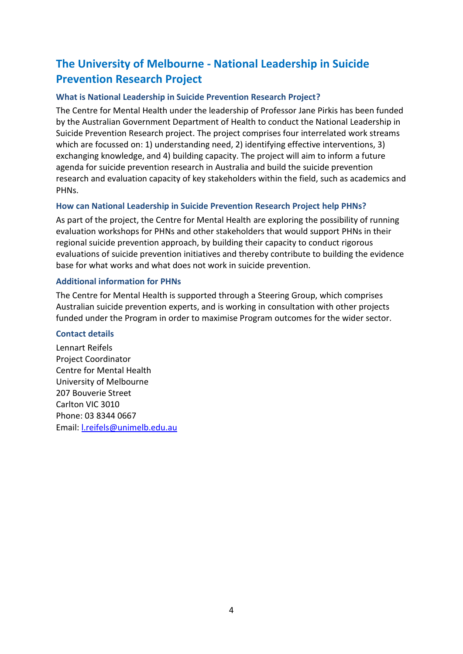# <span id="page-3-0"></span>**The University of Melbourne - National Leadership in Suicide Prevention Research Project**

### **What is National Leadership in Suicide Prevention Research Project?**

The Centre for Mental Health under the leadership of Professor Jane Pirkis has been funded by the Australian Government Department of Health to conduct the National Leadership in Suicide Prevention Research project. The project comprises four interrelated work streams which are focussed on: 1) understanding need, 2) identifying effective interventions, 3) exchanging knowledge, and 4) building capacity. The project will aim to inform a future agenda for suicide prevention research in Australia and build the suicide prevention research and evaluation capacity of key stakeholders within the field, such as academics and PHNs.

### **How can National Leadership in Suicide Prevention Research Project help PHNs?**

As part of the project, the Centre for Mental Health are exploring the possibility of running evaluation workshops for PHNs and other stakeholders that would support PHNs in their regional suicide prevention approach, by building their capacity to conduct rigorous evaluations of suicide prevention initiatives and thereby contribute to building the evidence base for what works and what does not work in suicide prevention.

### **Additional information for PHNs**

The Centre for Mental Health is supported through a Steering Group, which comprises Australian suicide prevention experts, and is working in consultation with other projects funded under the Program in order to maximise Program outcomes for the wider sector.

### **Contact details**

Lennart Reifels Project Coordinator Centre for Mental Health University of Melbourne 207 Bouverie Street Carlton VIC 3010 Phone: 03 8344 0667 Email: [l.reifels@unimelb.edu.au](mailto:l.reifels@unimelb.edu.au)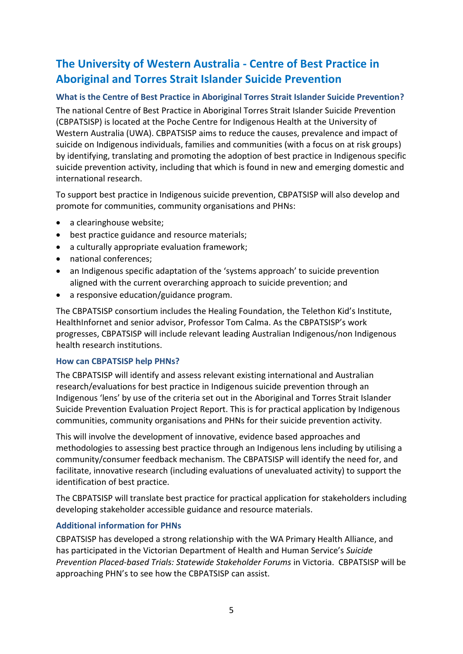# <span id="page-4-0"></span>**The University of Western Australia - Centre of Best Practice in Aboriginal and Torres Strait Islander Suicide Prevention**

### **What is the Centre of Best Practice in Aboriginal Torres Strait Islander Suicide Prevention?**

The national Centre of Best Practice in Aboriginal Torres Strait Islander Suicide Prevention (CBPATSISP) is located at the Poche Centre for Indigenous Health at the University of Western Australia (UWA). CBPATSISP aims to reduce the causes, prevalence and impact of suicide on Indigenous individuals, families and communities (with a focus on at risk groups) by identifying, translating and promoting the adoption of best practice in Indigenous specific suicide prevention activity, including that which is found in new and emerging domestic and international research.

To support best practice in Indigenous suicide prevention, CBPATSISP will also develop and promote for communities, community organisations and PHNs:

- a clearinghouse website;
- best practice guidance and resource materials:
- a culturally appropriate evaluation framework;
- national conferences;
- an Indigenous specific adaptation of the 'systems approach' to suicide prevention aligned with the current overarching approach to suicide prevention; and
- a responsive education/guidance program.

The CBPATSISP consortium includes the Healing Foundation, the Telethon Kid's Institute, HealthInfornet and senior advisor, Professor Tom Calma. As the CBPATSISP's work progresses, CBPATSISP will include relevant leading Australian Indigenous/non Indigenous health research institutions.

### **How can CBPATSISP help PHNs?**

The CBPATSISP will identify and assess relevant existing international and Australian research/evaluations for best practice in Indigenous suicide prevention through an Indigenous 'lens' by use of the criteria set out in the Aboriginal and Torres Strait Islander Suicide Prevention Evaluation Project Report. This is for practical application by Indigenous communities, community organisations and PHNs for their suicide prevention activity.

This will involve the development of innovative, evidence based approaches and methodologies to assessing best practice through an Indigenous lens including by utilising a community/consumer feedback mechanism. The CBPATSISP will identify the need for, and facilitate, innovative research (including evaluations of unevaluated activity) to support the identification of best practice.

The CBPATSISP will translate best practice for practical application for stakeholders including developing stakeholder accessible guidance and resource materials.

### **Additional information for PHNs**

CBPATSISP has developed a strong relationship with the WA Primary Health Alliance, and has participated in the Victorian Department of Health and Human Service's *Suicide Prevention Placed-based Trials: Statewide Stakeholder Forums* in Victoria. CBPATSISP will be approaching PHN's to see how the CBPATSISP can assist.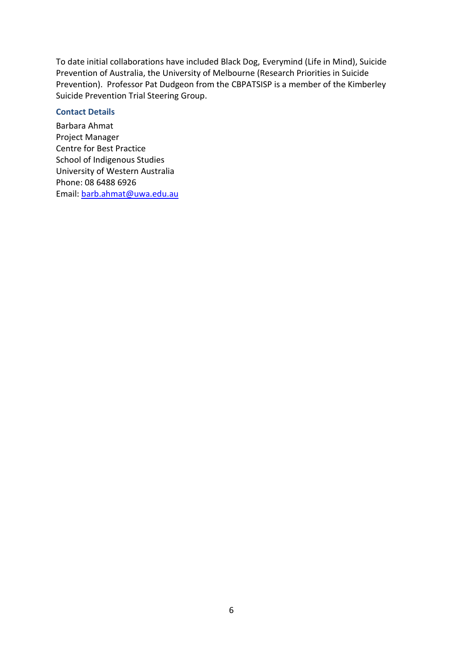To date initial collaborations have included Black Dog, Everymind (Life in Mind), Suicide Prevention of Australia, the University of Melbourne (Research Priorities in Suicide Prevention). Professor Pat Dudgeon from the CBPATSISP is a member of the Kimberley Suicide Prevention Trial Steering Group.

#### **Contact Details**

Barbara Ahmat Project Manager Centre for Best Practice School of Indigenous Studies University of Western Australia Phone: 08 6488 6926 Email: [barb.ahmat@uwa.edu.au](mailto:barb.ahmat@uwa.edu.au)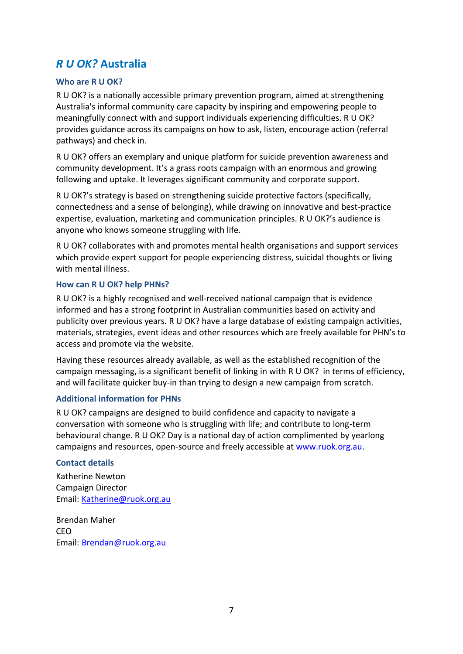### <span id="page-6-0"></span>*R U OK?* **Australia**

### **Who are R U OK?**

R U OK? is a nationally accessible primary prevention program, aimed at strengthening Australia's informal community care capacity by inspiring and empowering people to meaningfully connect with and support individuals experiencing difficulties. R U OK? provides guidance across its campaigns on how to ask, listen, encourage action (referral pathways) and check in.

R U OK? offers an exemplary and unique platform for suicide prevention awareness and community development. It's a grass roots campaign with an enormous and growing following and uptake. It leverages significant community and corporate support.

R U OK?'s strategy is based on strengthening suicide protective factors (specifically, connectedness and a sense of belonging), while drawing on innovative and best-practice expertise, evaluation, marketing and communication principles. R U OK?'s audience is anyone who knows someone struggling with life.

R U OK? collaborates with and promotes mental health organisations and support services which provide expert support for people experiencing distress, suicidal thoughts or living with mental illness.

### **How can R U OK? help PHNs?**

R U OK? is a highly recognised and well-received national campaign that is evidence informed and has a strong footprint in Australian communities based on activity and publicity over previous years. R U OK? have a large database of existing campaign activities, materials, strategies, event ideas and other resources which are freely available for PHN's to access and promote via the website.

Having these resources already available, as well as the established recognition of the campaign messaging, is a significant benefit of linking in with R U OK? in terms of efficiency, and will facilitate quicker buy-in than trying to design a new campaign from scratch.

### **Additional information for PHNs**

R U OK? campaigns are designed to build confidence and capacity to navigate a conversation with someone who is struggling with life; and contribute to long-term behavioural change. R U OK? Day is a national day of action complimented by yearlong campaigns and resources, open-source and freely accessible at [www.ruok.org.au.](http://www.ruok.org.au/)

#### **Contact details**

Katherine Newton Campaign Director Email: [Katherine@ruok.org.au](mailto:Katherine@ruok.org.au)

Brendan Maher CEO Email: [Brendan@ruok.org.au](mailto:Brendan@ruok.org.au)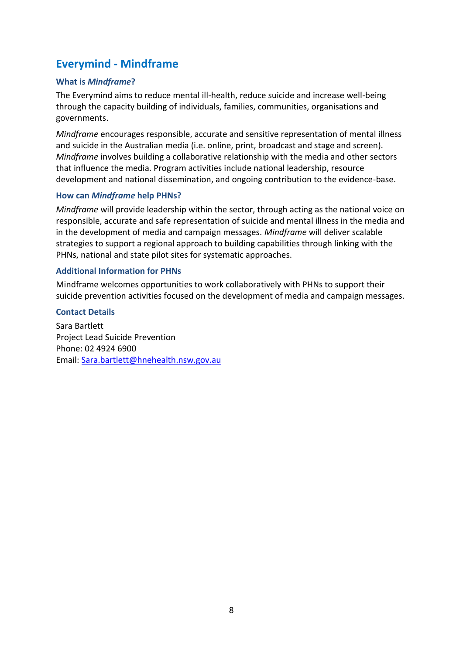### <span id="page-7-0"></span>**Everymind - Mindframe**

### **What is** *Mindframe***?**

The Everymind aims to reduce mental ill-health, reduce suicide and increase well-being through the capacity building of individuals, families, communities, organisations and governments.

*Mindframe* encourages responsible, accurate and sensitive representation of mental illness and suicide in the Australian media (i.e. online, print, broadcast and stage and screen). *Mindframe* involves building a collaborative relationship with the media and other sectors that influence the media. Program activities include national leadership, resource development and national dissemination, and ongoing contribution to the evidence-base.

### **How can** *Mindframe* **help PHNs?**

*Mindframe* will provide leadership within the sector, through acting as the national voice on responsible, accurate and safe representation of suicide and mental illness in the media and in the development of media and campaign messages. *Mindframe* will deliver scalable strategies to support a regional approach to building capabilities through linking with the PHNs, national and state pilot sites for systematic approaches.

### **Additional Information for PHNs**

Mindframe welcomes opportunities to work collaboratively with PHNs to support their suicide prevention activities focused on the development of media and campaign messages.

### **Contact Details**

Sara Bartlett Project Lead Suicide Prevention Phone: 02 4924 6900 Email: [Sara.bartlett@hnehealth.nsw.gov.au](mailto:Sara.bartlett@hnehealth.nsw.gov.au)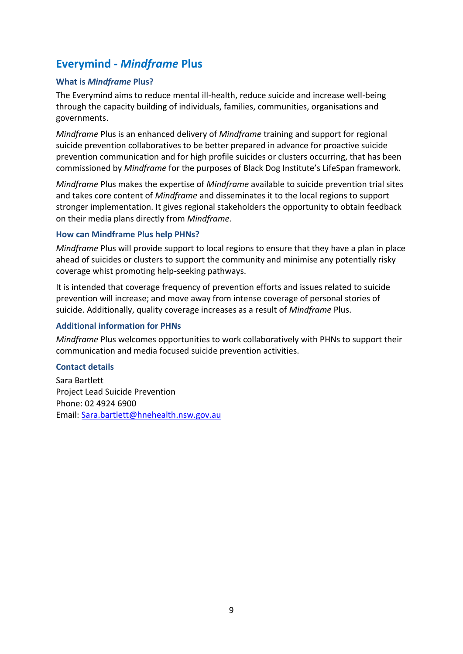### <span id="page-8-0"></span>**Everymind** *- Mindframe* **Plus**

### **What is** *Mindframe* **Plus?**

The Everymind aims to reduce mental ill-health, reduce suicide and increase well-being through the capacity building of individuals, families, communities, organisations and governments.

*Mindframe* Plus is an enhanced delivery of *Mindframe* training and support for regional suicide prevention collaboratives to be better prepared in advance for proactive suicide prevention communication and for high profile suicides or clusters occurring, that has been commissioned by *Mindframe* for the purposes of Black Dog Institute's LifeSpan framework.

*Mindframe* Plus makes the expertise of *Mindframe* available to suicide prevention trial sites and takes core content of *Mindframe* and disseminates it to the local regions to support stronger implementation. It gives regional stakeholders the opportunity to obtain feedback on their media plans directly from *Mindframe*.

### **How can Mindframe Plus help PHNs?**

*Mindframe* Plus will provide support to local regions to ensure that they have a plan in place ahead of suicides or clusters to support the community and minimise any potentially risky coverage whist promoting help-seeking pathways.

It is intended that coverage frequency of prevention efforts and issues related to suicide prevention will increase; and move away from intense coverage of personal stories of suicide. Additionally, quality coverage increases as a result of *Mindframe* Plus.

### **Additional information for PHNs**

*Mindframe* Plus welcomes opportunities to work collaboratively with PHNs to support their communication and media focused suicide prevention activities.

### **Contact details**

Sara Bartlett Project Lead Suicide Prevention Phone: 02 4924 6900 Email: [Sara.bartlett@hnehealth.nsw.gov.au](mailto:Sara.bartlett@hnehealth.nsw.gov.au)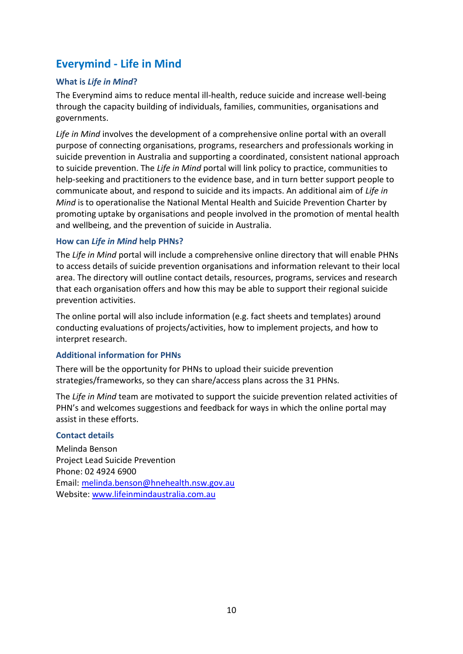### <span id="page-9-0"></span>**Everymind - Life in Mind**

### **What is** *Life in Mind***?**

The Everymind aims to reduce mental ill-health, reduce suicide and increase well-being through the capacity building of individuals, families, communities, organisations and governments.

*Life in Mind* involves the development of a comprehensive online portal with an overall purpose of connecting organisations, programs, researchers and professionals working in suicide prevention in Australia and supporting a coordinated, consistent national approach to suicide prevention. The *Life in Mind* portal will link policy to practice, communities to help-seeking and practitioners to the evidence base, and in turn better support people to communicate about, and respond to suicide and its impacts. An additional aim of *Life in Mind* is to operationalise the National Mental Health and Suicide Prevention Charter by promoting uptake by organisations and people involved in the promotion of mental health and wellbeing, and the prevention of suicide in Australia.

### **How can** *Life in Mind* **help PHNs?**

The *Life in Mind* portal will include a comprehensive online directory that will enable PHNs to access details of suicide prevention organisations and information relevant to their local area. The directory will outline contact details, resources, programs, services and research that each organisation offers and how this may be able to support their regional suicide prevention activities.

The online portal will also include information (e.g. fact sheets and templates) around conducting evaluations of projects/activities, how to implement projects, and how to interpret research.

### **Additional information for PHNs**

There will be the opportunity for PHNs to upload their suicide prevention strategies/frameworks, so they can share/access plans across the 31 PHNs.

The *Life in Mind* team are motivated to support the suicide prevention related activities of PHN's and welcomes suggestions and feedback for ways in which the online portal may assist in these efforts.

### **Contact details**

Melinda Benson Project Lead Suicide Prevention Phone: 02 4924 6900 Email: [melinda.benson@hnehealth.nsw.gov.au](mailto:melinda.benson@hnehealth.nsw.gov.au) Website: [www.lifeinmindaustralia.com.au](http://www.lifeinmindaustralia.com.au/)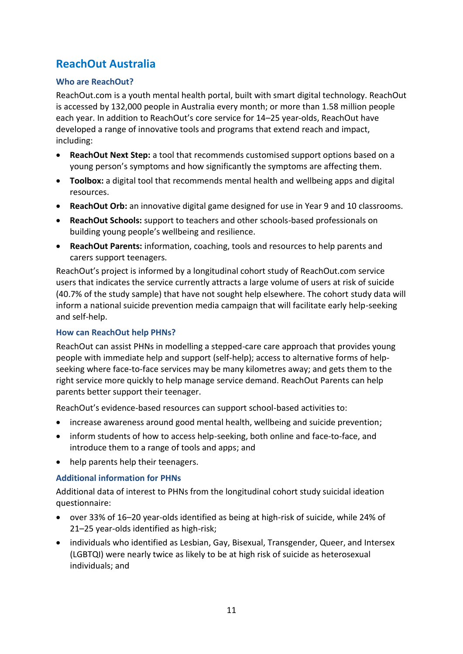## <span id="page-10-0"></span>**ReachOut Australia**

### **Who are ReachOut?**

ReachOut.com is a youth mental health portal, built with smart digital technology. ReachOut is accessed by 132,000 people in Australia every month; or more than 1.58 million people each year. In addition to ReachOut's core service for 14–25 year-olds, ReachOut have developed a range of innovative tools and programs that extend reach and impact, including:

- **ReachOut Next Step:** a tool that recommends customised support options based on a young person's symptoms and how significantly the symptoms are affecting them.
- **Toolbox:** a digital tool that recommends mental health and wellbeing apps and digital resources.
- **ReachOut Orb:** an innovative digital game designed for use in Year 9 and 10 classrooms.
- **ReachOut Schools:** support to teachers and other schools-based professionals on building young people's wellbeing and resilience.
- **ReachOut Parents:** information, coaching, tools and resources to help parents and carers support teenagers.

ReachOut's project is informed by a longitudinal cohort study of ReachOut.com service users that indicates the service currently attracts a large volume of users at risk of suicide (40.7% of the study sample) that have not sought help elsewhere. The cohort study data will inform a national suicide prevention media campaign that will facilitate early help-seeking and self-help.

### **How can ReachOut help PHNs?**

ReachOut can assist PHNs in modelling a stepped-care care approach that provides young people with immediate help and support (self-help); access to alternative forms of helpseeking where face-to-face services may be many kilometres away; and gets them to the right service more quickly to help manage service demand. ReachOut Parents can help parents better support their teenager.

ReachOut's evidence-based resources can support school-based activities to:

- increase awareness around good mental health, wellbeing and suicide prevention;
- inform students of how to access help-seeking, both online and face-to-face, and introduce them to a range of tools and apps; and
- help parents help their teenagers.

### **Additional information for PHNs**

Additional data of interest to PHNs from the longitudinal cohort study suicidal ideation questionnaire:

- over 33% of 16–20 year-olds identified as being at high-risk of suicide, while 24% of 21–25 year-olds identified as high-risk;
- individuals who identified as Lesbian, Gay, Bisexual, Transgender, Queer, and Intersex (LGBTQI) were nearly twice as likely to be at high risk of suicide as heterosexual individuals; and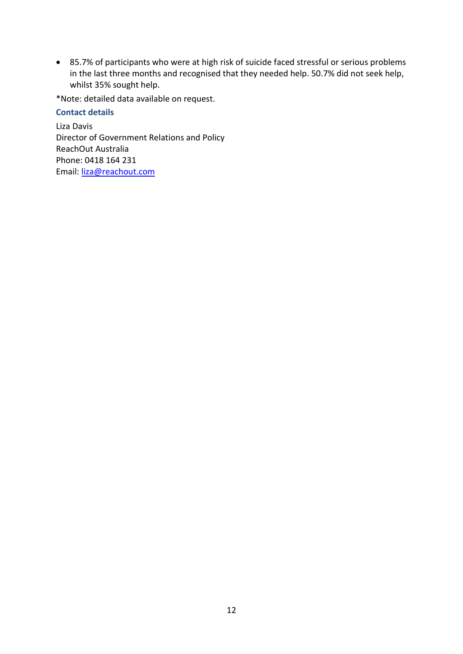85.7% of participants who were at high risk of suicide faced stressful or serious problems in the last three months and recognised that they needed help. 50.7% did not seek help, whilst 35% sought help.

\*Note: detailed data available on request.

### **Contact details**

Liza Davis Director of Government Relations and Policy ReachOut Australia Phone: 0418 164 231 Email: [liza@reachout.com](mailto:liza@reachout.com)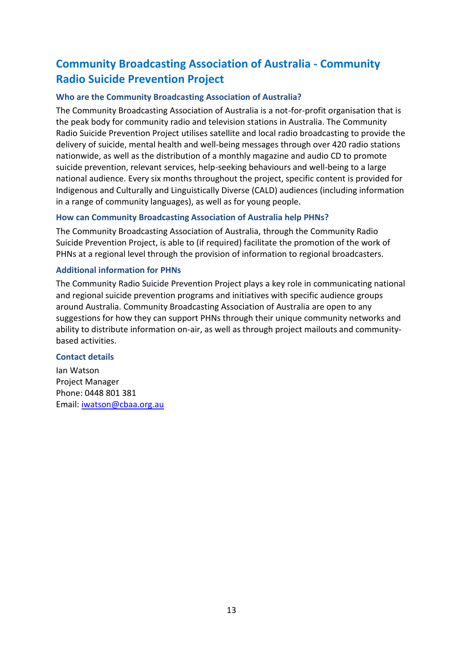# <span id="page-12-0"></span>**Community Broadcasting Association of Australia - Community Radio Suicide Prevention Project**

### **Who are the Community Broadcasting Association of Australia?**

The Community Broadcasting Association of Australia is a not-for-profit organisation that is the peak body for community radio and television stations in Australia. The Community Radio Suicide Prevention Project utilises satellite and local radio broadcasting to provide the delivery of suicide, mental health and well-being messages through over 420 radio stations nationwide, as well as the distribution of a monthly magazine and audio CD to promote suicide prevention, relevant services, help-seeking behaviours and well-being to a large national audience. Every six months throughout the project, specific content is provided for Indigenous and Culturally and Linguistically Diverse (CALD) audiences (including information in a range of community languages), as well as for young people.

### **How can Community Broadcasting Association of Australia help PHNs?**

The Community Broadcasting Association of Australia, through the Community Radio Suicide Prevention Project, is able to (if required) facilitate the promotion of the work of PHNs at a regional level through the provision of information to regional broadcasters.

### **Additional information for PHNs**

The Community Radio Suicide Prevention Project plays a key role in communicating national and regional suicide prevention programs and initiatives with specific audience groups around Australia. Community Broadcasting Association of Australia are open to any suggestions for how they can support PHNs through their unique community networks and ability to distribute information on-air, as well as through project mailouts and communitybased activities.

### **Contact details**

Ian Watson Project Manager Phone: 0448 801 381 Email: [iwatson@cbaa.org.au](mailto:iwatson@cbaa.org.au)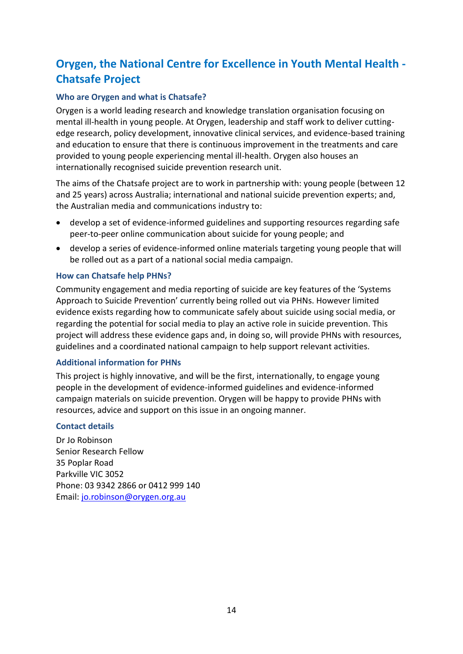# <span id="page-13-0"></span>**Orygen, the National Centre for Excellence in Youth Mental Health - Chatsafe Project**

### **Who are Orygen and what is Chatsafe?**

Orygen is a world leading research and knowledge translation organisation focusing on mental ill-health in young people. At Orygen, leadership and staff work to deliver cuttingedge research, policy development, innovative clinical services, and evidence-based training and education to ensure that there is continuous improvement in the treatments and care provided to young people experiencing mental ill-health. Orygen also houses an internationally recognised suicide prevention research unit.

The aims of the Chatsafe project are to work in partnership with: young people (between 12 and 25 years) across Australia; international and national suicide prevention experts; and, the Australian media and communications industry to:

- develop a set of evidence-informed guidelines and supporting resources regarding safe peer-to-peer online communication about suicide for young people; and
- develop a series of evidence-informed online materials targeting young people that will be rolled out as a part of a national social media campaign.

### **How can Chatsafe help PHNs?**

Community engagement and media reporting of suicide are key features of the 'Systems Approach to Suicide Prevention' currently being rolled out via PHNs. However limited evidence exists regarding how to communicate safely about suicide using social media, or regarding the potential for social media to play an active role in suicide prevention. This project will address these evidence gaps and, in doing so, will provide PHNs with resources, guidelines and a coordinated national campaign to help support relevant activities.

### **Additional information for PHNs**

This project is highly innovative, and will be the first, internationally, to engage young people in the development of evidence-informed guidelines and evidence-informed campaign materials on suicide prevention. Orygen will be happy to provide PHNs with resources, advice and support on this issue in an ongoing manner.

### **Contact details**

Dr Jo Robinson Senior Research Fellow 35 Poplar Road Parkville VIC 3052 Phone: 03 9342 2866 or 0412 999 140 Email: [jo.robinson@orygen.org.au](mailto:jo.robinson@orygen.org.au)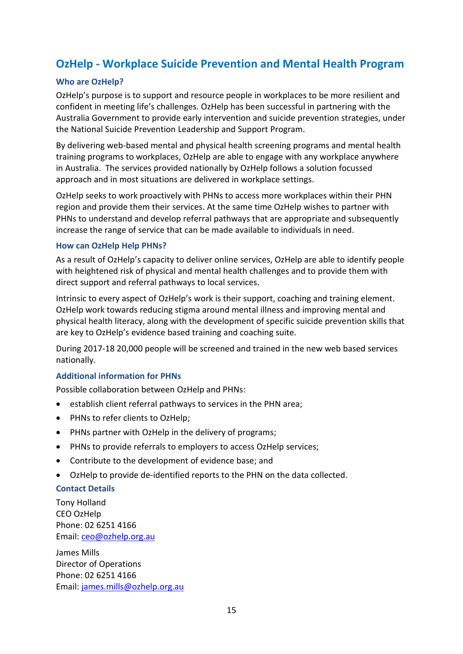### <span id="page-14-0"></span>**OzHelp - Workplace Suicide Prevention and Mental Health Program**

### **Who are OzHelp?**

OzHelp's purpose is to support and resource people in workplaces to be more resilient and confident in meeting life's challenges. OzHelp has been successful in partnering with the Australia Government to provide early intervention and suicide prevention strategies, under the National Suicide Prevention Leadership and Support Program.

By delivering web-based mental and physical health screening programs and mental health training programs to workplaces, OzHelp are able to engage with any workplace anywhere in Australia. The services provided nationally by OzHelp follows a solution focussed approach and in most situations are delivered in workplace settings.

OzHelp seeks to work proactively with PHNs to access more workplaces within their PHN region and provide them their services. At the same time OzHelp wishes to partner with PHNs to understand and develop referral pathways that are appropriate and subsequently increase the range of service that can be made available to individuals in need.

#### **How can OzHelp Help PHNs?**

As a result of OzHelp's capacity to deliver online services, OzHelp are able to identify people with heightened risk of physical and mental health challenges and to provide them with direct support and referral pathways to local services.

Intrinsic to every aspect of OzHelp's work is their support, coaching and training element. OzHelp work towards reducing stigma around mental illness and improving mental and physical health literacy, along with the development of specific suicide prevention skills that are key to OzHelp's evidence based training and coaching suite.

During 2017-18 20,000 people will be screened and trained in the new web based services nationally.

### **Additional information for PHNs**

Possible collaboration between OzHelp and PHNs:

- establish client referral pathways to services in the PHN area;
- PHNs to refer clients to OzHelp;
- PHNs partner with OzHelp in the delivery of programs;
- PHNs to provide referrals to employers to access OzHelp services;
- Contribute to the development of evidence base; and
- OzHelp to provide de-identified reports to the PHN on the data collected.

### **Contact Details**

Tony Holland CEO OzHelp Phone: 02 6251 4166 Email: [ceo@ozhelp.org.au](mailto:ceo@ozhelp.org.au)

James Mills Director of Operations Phone: 02 6251 4166 Email: [james.mills@ozhelp.org.au](mailto:james.mills@ozhelp.org.au)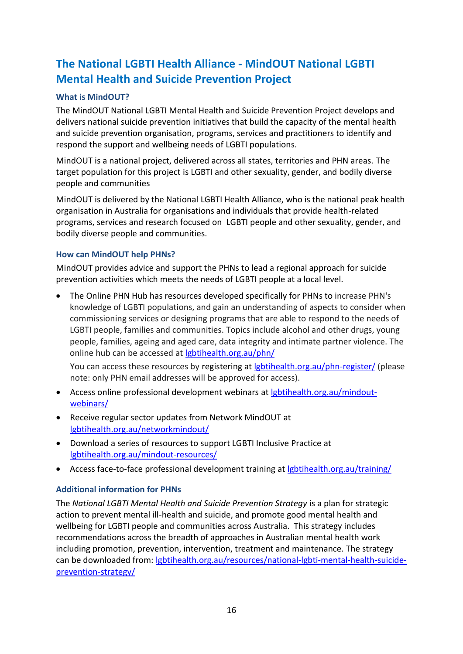# <span id="page-15-0"></span>**The National LGBTI Health Alliance - MindOUT National LGBTI Mental Health and Suicide Prevention Project**

### **What is MindOUT?**

The MindOUT National LGBTI Mental Health and Suicide Prevention Project develops and delivers national suicide prevention initiatives that build the capacity of the mental health and suicide prevention organisation, programs, services and practitioners to identify and respond the support and wellbeing needs of LGBTI populations.

MindOUT is a national project, delivered across all states, territories and PHN areas. The target population for this project is LGBTI and other sexuality, gender, and bodily diverse people and communities

MindOUT is delivered by the National LGBTI Health Alliance, who is the national peak health organisation in Australia for organisations and individuals that provide health-related programs, services and research focused on LGBTI people and other sexuality, gender, and bodily diverse people and communities.

### **How can MindOUT help PHNs?**

MindOUT provides advice and support the PHNs to lead a regional approach for suicide prevention activities which meets the needs of LGBTI people at a local level.

 The Online PHN Hub has resources developed specifically for PHNs to increase PHN's knowledge of LGBTI populations, and gain an understanding of aspects to consider when commissioning services or designing programs that are able to respond to the needs of LGBTI people, families and communities. Topics include alcohol and other drugs, young people, families, ageing and aged care, data integrity and intimate partner violence. The online hub can be accessed at [lgbtihealth.org.au/phn/](http://lgbtihealth.org.au/phn/)

You can access these resources by registering at [lgbtihealth.org.au/phn-register/](http://lgbtihealth.org.au/phn-register/) (please note: only PHN email addresses will be approved for access).

- Access online professional development webinars at [lgbtihealth.org.au/mindout](http://lgbtihealth.org.au/mindout-webinars/)[webinars/](http://lgbtihealth.org.au/mindout-webinars/)
- Receive regular sector updates from Network MindOUT at [lgbtihealth.org.au/networkmindout/](http://lgbtihealth.org.au/networkmindout/)
- Download a series of resources to support LGBTI Inclusive Practice at [lgbtihealth.org.au/mindout-resources/](http://lgbtihealth.org.au/mindout-resources/)
- Access face-to-face professional development training at [lgbtihealth.org.au/training/](http://lgbtihealth.org.au/training/)

### **Additional information for PHNs**

The *National LGBTI Mental Health and Suicide Prevention Strategy* is a plan for strategic action to prevent mental ill-health and suicide, and promote good mental health and wellbeing for LGBTI people and communities across Australia. This strategy includes recommendations across the breadth of approaches in Australian mental health work including promotion, prevention, intervention, treatment and maintenance. The strategy can be downloaded from: [lgbtihealth.org.au/resources/national-lgbti-mental-health-suicide](http://lgbtihealth.org.au/resources/national-lgbti-mental-health-suicide-prevention-strategy/)[prevention-strategy/](http://lgbtihealth.org.au/resources/national-lgbti-mental-health-suicide-prevention-strategy/)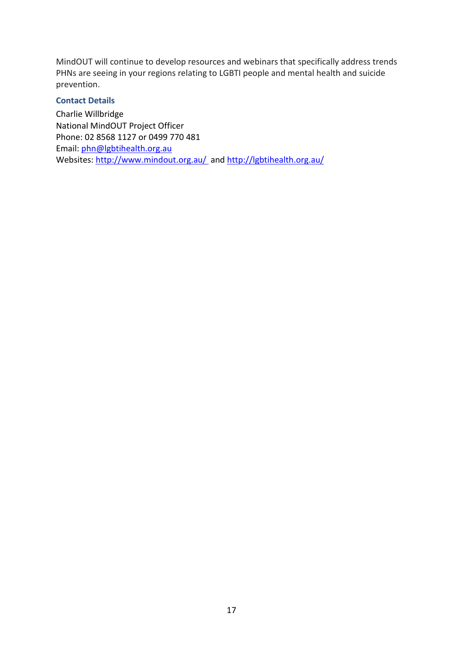MindOUT will continue to develop resources and webinars that specifically address trends PHNs are seeing in your regions relating to LGBTI people and mental health and suicide prevention.

### **Contact Details**

Charlie Willbridge National MindOUT Project Officer Phone: 02 8568 1127 or 0499 770 481 Email: [phn@lgbtihealth.org.au](mailto:phn@lgbtihealth.org.au) Websites:<http://www.mindout.org.au/>and<http://lgbtihealth.org.au/>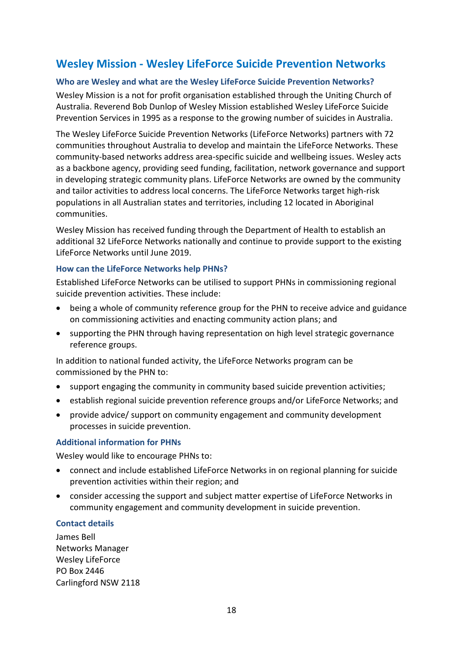### <span id="page-17-0"></span>**Wesley Mission - Wesley LifeForce Suicide Prevention Networks**

### **Who are Wesley and what are the Wesley LifeForce Suicide Prevention Networks?**

Wesley Mission is a not for profit organisation established through the Uniting Church of Australia. Reverend Bob Dunlop of Wesley Mission established Wesley LifeForce Suicide Prevention Services in 1995 as a response to the growing number of suicides in Australia.

The Wesley LifeForce Suicide Prevention Networks (LifeForce Networks) partners with 72 communities throughout Australia to develop and maintain the LifeForce Networks. These community-based networks address area-specific suicide and wellbeing issues. Wesley acts as a backbone agency, providing seed funding, facilitation, network governance and support in developing strategic community plans. LifeForce Networks are owned by the community and tailor activities to address local concerns. The LifeForce Networks target high-risk populations in all Australian states and territories, including 12 located in Aboriginal communities.

Wesley Mission has received funding through the Department of Health to establish an additional 32 LifeForce Networks nationally and continue to provide support to the existing LifeForce Networks until June 2019.

### **How can the LifeForce Networks help PHNs?**

Established LifeForce Networks can be utilised to support PHNs in commissioning regional suicide prevention activities. These include:

- being a whole of community reference group for the PHN to receive advice and guidance on commissioning activities and enacting community action plans; and
- supporting the PHN through having representation on high level strategic governance reference groups.

In addition to national funded activity, the LifeForce Networks program can be commissioned by the PHN to:

- support engaging the community in community based suicide prevention activities;
- establish regional suicide prevention reference groups and/or LifeForce Networks; and
- provide advice/ support on community engagement and community development processes in suicide prevention.

### **Additional information for PHNs**

Wesley would like to encourage PHNs to:

- connect and include established LifeForce Networks in on regional planning for suicide prevention activities within their region; and
- consider accessing the support and subject matter expertise of LifeForce Networks in community engagement and community development in suicide prevention.

### **Contact details**

James Bell Networks Manager Wesley LifeForce PO Box 2446 Carlingford NSW 2118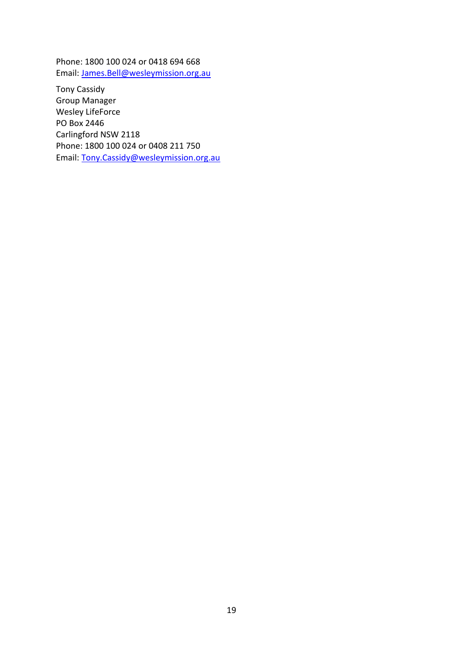Phone: 1800 100 024 or 0418 694 668 Email: [James.Bell@wesleymission.org.au](mailto:James.Bell@wesleymission.org.au)

Tony Cassidy Group Manager Wesley LifeForce PO Box 2446 Carlingford NSW 2118 Phone: 1800 100 024 or 0408 211 750 Email: [Tony.Cassidy@wesleymission.org.au](mailto:Tony.Cassidy@wesleymission.org.au)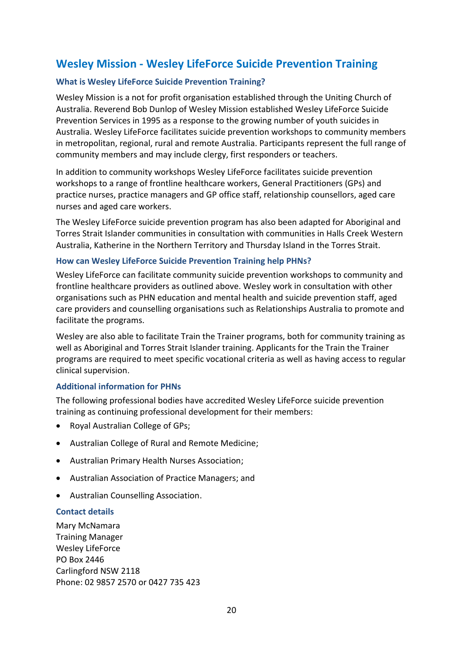### <span id="page-19-0"></span>**Wesley Mission - Wesley LifeForce Suicide Prevention Training**

### **What is Wesley LifeForce Suicide Prevention Training?**

Wesley Mission is a not for profit organisation established through the Uniting Church of Australia. Reverend Bob Dunlop of Wesley Mission established Wesley LifeForce Suicide Prevention Services in 1995 as a response to the growing number of youth suicides in Australia. Wesley LifeForce facilitates suicide prevention workshops to community members in metropolitan, regional, rural and remote Australia. Participants represent the full range of community members and may include clergy, first responders or teachers.

In addition to community workshops Wesley LifeForce facilitates suicide prevention workshops to a range of frontline healthcare workers, General Practitioners (GPs) and practice nurses, practice managers and GP office staff, relationship counsellors, aged care nurses and aged care workers.

The Wesley LifeForce suicide prevention program has also been adapted for Aboriginal and Torres Strait Islander communities in consultation with communities in Halls Creek Western Australia, Katherine in the Northern Territory and Thursday Island in the Torres Strait.

### **How can Wesley LifeForce Suicide Prevention Training help PHNs?**

Wesley LifeForce can facilitate community suicide prevention workshops to community and frontline healthcare providers as outlined above. Wesley work in consultation with other organisations such as PHN education and mental health and suicide prevention staff, aged care providers and counselling organisations such as Relationships Australia to promote and facilitate the programs.

Wesley are also able to facilitate Train the Trainer programs, both for community training as well as Aboriginal and Torres Strait Islander training. Applicants for the Train the Trainer programs are required to meet specific vocational criteria as well as having access to regular clinical supervision.

### **Additional information for PHNs**

The following professional bodies have accredited Wesley LifeForce suicide prevention training as continuing professional development for their members:

- Royal Australian College of GPs;
- Australian College of Rural and Remote Medicine;
- Australian Primary Health Nurses Association;
- Australian Association of Practice Managers; and
- Australian Counselling Association.

### **Contact details**

Mary McNamara Training Manager Wesley LifeForce PO Box 2446 Carlingford NSW 2118 Phone: 02 9857 2570 or 0427 735 423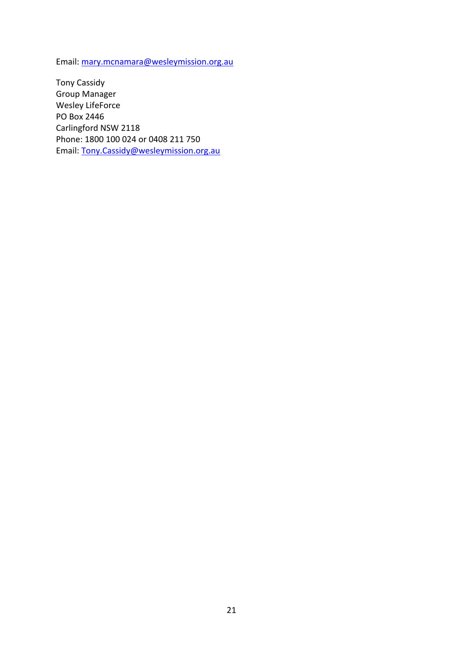Email: [mary.mcnamara@wesleymission.org.au](mailto:mary.mcnamara@wesleymission.org.au)

Tony Cassidy Group Manager Wesley LifeForce PO Box 2446 Carlingford NSW 2118 Phone: 1800 100 024 or 0408 211 750 Email: [Tony.Cassidy@wesleymission.org.au](mailto:Tony.Cassidy@wesleymission.org.au)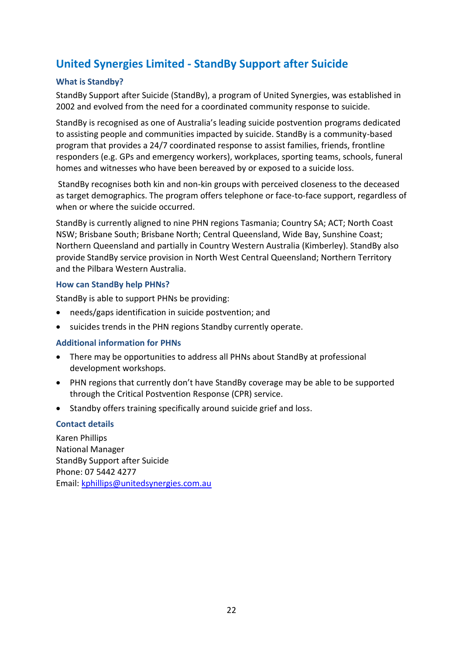# <span id="page-21-0"></span>**United Synergies Limited - StandBy Support after Suicide**

### **What is Standby?**

StandBy Support after Suicide (StandBy), a program of United Synergies, was established in 2002 and evolved from the need for a coordinated community response to suicide.

StandBy is recognised as one of Australia's leading suicide postvention programs dedicated to assisting people and communities impacted by suicide. StandBy is a community-based program that provides a 24/7 coordinated response to assist families, friends, frontline responders (e.g. GPs and emergency workers), workplaces, sporting teams, schools, funeral homes and witnesses who have been bereaved by or exposed to a suicide loss.

StandBy recognises both kin and non-kin groups with perceived closeness to the deceased as target demographics. The program offers telephone or face-to-face support, regardless of when or where the suicide occurred.

StandBy is currently aligned to nine PHN regions Tasmania; Country SA; ACT; North Coast NSW; Brisbane South; Brisbane North; Central Queensland, Wide Bay, Sunshine Coast; Northern Queensland and partially in Country Western Australia (Kimberley). StandBy also provide StandBy service provision in North West Central Queensland; Northern Territory and the Pilbara Western Australia.

### **How can StandBy help PHNs?**

StandBy is able to support PHNs be providing:

- needs/gaps identification in suicide postvention; and
- suicides trends in the PHN regions Standby currently operate.

### **Additional information for PHNs**

- There may be opportunities to address all PHNs about StandBy at professional development workshops.
- PHN regions that currently don't have StandBy coverage may be able to be supported through the Critical Postvention Response (CPR) service.
- Standby offers training specifically around suicide grief and loss.

### **Contact details**

Karen Phillips National Manager StandBy Support after Suicide Phone: 07 5442 4277 Email: [kphillips@unitedsynergies.com.au](mailto:kphillips@unitedsynergies.com.au)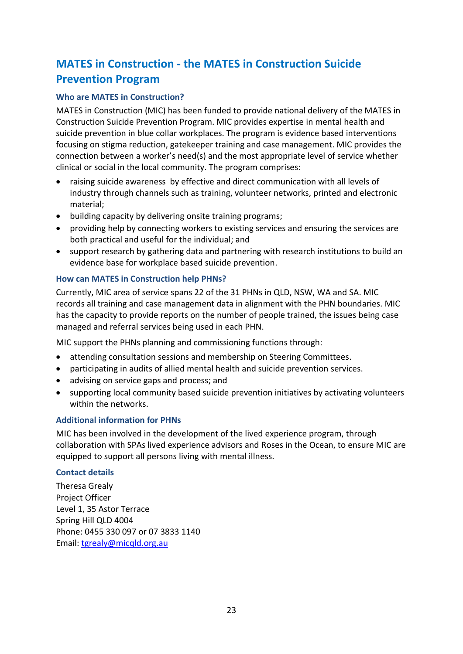# <span id="page-22-0"></span>**MATES in Construction - the MATES in Construction Suicide Prevention Program**

### **Who are MATES in Construction?**

MATES in Construction (MIC) has been funded to provide national delivery of the MATES in Construction Suicide Prevention Program. MIC provides expertise in mental health and suicide prevention in blue collar workplaces. The program is evidence based interventions focusing on stigma reduction, gatekeeper training and case management. MIC provides the connection between a worker's need(s) and the most appropriate level of service whether clinical or social in the local community. The program comprises:

- raising suicide awareness by effective and direct communication with all levels of industry through channels such as training, volunteer networks, printed and electronic material;
- building capacity by delivering onsite training programs;
- providing help by connecting workers to existing services and ensuring the services are both practical and useful for the individual; and
- support research by gathering data and partnering with research institutions to build an evidence base for workplace based suicide prevention.

### **How can MATES in Construction help PHNs?**

Currently, MIC area of service spans 22 of the 31 PHNs in QLD, NSW, WA and SA. MIC records all training and case management data in alignment with the PHN boundaries. MIC has the capacity to provide reports on the number of people trained, the issues being case managed and referral services being used in each PHN.

MIC support the PHNs planning and commissioning functions through:

- attending consultation sessions and membership on Steering Committees.
- participating in audits of allied mental health and suicide prevention services.
- advising on service gaps and process; and
- supporting local community based suicide prevention initiatives by activating volunteers within the networks.

### **Additional information for PHNs**

MIC has been involved in the development of the lived experience program, through collaboration with SPAs lived experience advisors and Roses in the Ocean, to ensure MIC are equipped to support all persons living with mental illness.

### **Contact details**

Theresa Grealy Project Officer Level 1, 35 Astor Terrace Spring Hill QLD 4004 Phone: 0455 330 097 or 07 3833 1140 Email: [tgrealy@micqld.org.au](mailto:tgrealy@micqld.org.au)